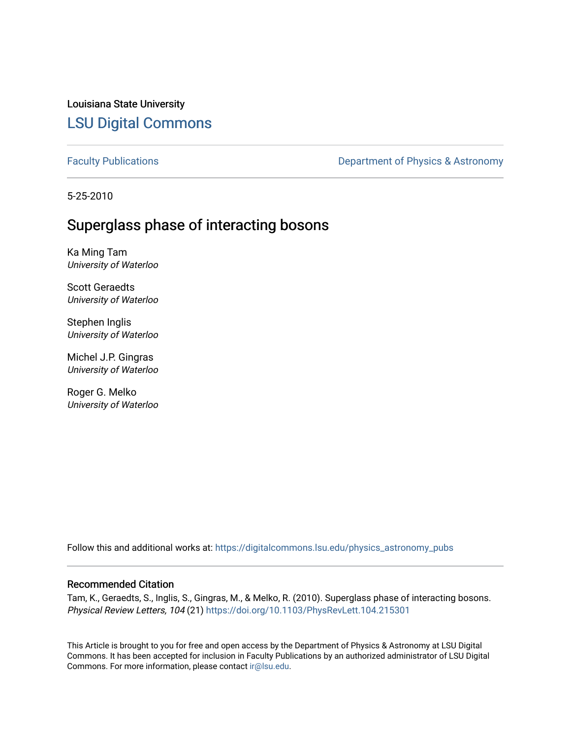Louisiana State University [LSU Digital Commons](https://digitalcommons.lsu.edu/)

[Faculty Publications](https://digitalcommons.lsu.edu/physics_astronomy_pubs) **Exercise 2** Constant Department of Physics & Astronomy

5-25-2010

## Superglass phase of interacting bosons

Ka Ming Tam University of Waterloo

Scott Geraedts University of Waterloo

Stephen Inglis University of Waterloo

Michel J.P. Gingras University of Waterloo

Roger G. Melko University of Waterloo

Follow this and additional works at: [https://digitalcommons.lsu.edu/physics\\_astronomy\\_pubs](https://digitalcommons.lsu.edu/physics_astronomy_pubs?utm_source=digitalcommons.lsu.edu%2Fphysics_astronomy_pubs%2F5376&utm_medium=PDF&utm_campaign=PDFCoverPages) 

## Recommended Citation

Tam, K., Geraedts, S., Inglis, S., Gingras, M., & Melko, R. (2010). Superglass phase of interacting bosons. Physical Review Letters, 104 (21)<https://doi.org/10.1103/PhysRevLett.104.215301>

This Article is brought to you for free and open access by the Department of Physics & Astronomy at LSU Digital Commons. It has been accepted for inclusion in Faculty Publications by an authorized administrator of LSU Digital Commons. For more information, please contact [ir@lsu.edu](mailto:ir@lsu.edu).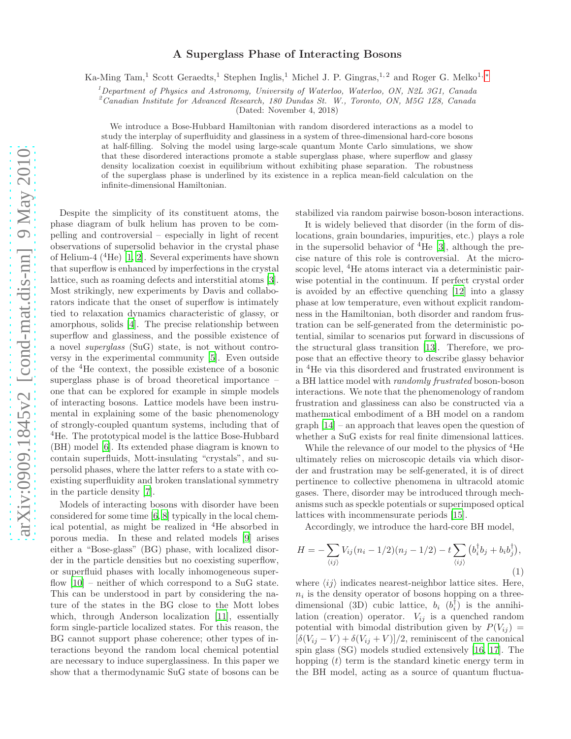## A Superglass Phase of Interacting Bosons

Ka-Ming Tam,<sup>1</sup> Scott Geraedts,<sup>1</sup> Stephen Inglis,<sup>1</sup> Michel J. P. Gingras,<sup>1,2</sup> and Roger G. Melko<sup>1,\*</sup>

 ${}^{1}$ Department of Physics and Astronomy, University of Waterloo, Waterloo, ON, N2L 3G1, Canada

<sup>2</sup>Canadian Institute for Advanced Research, 180 Dundas St. W., Toronto, ON, M5G 1Z8, Canada

(Dated: November 4, 2018)

We introduce a Bose-Hubbard Hamiltonian with random disordered interactions as a model to study the interplay of superfluidity and glassiness in a system of three-dimensional hard-core bosons at half-filling. Solving the model using large-scale quantum Monte Carlo simulations, we show that these disordered interactions promote a stable superglass phase, where superflow and glassy density localization coexist in equilibrium without exhibiting phase separation. The robustness of the superglass phase is underlined by its existence in a replica mean-field calculation on the infinite-dimensional Hamiltonian.

Despite the simplicity of its constituent atoms, the phase diagram of bulk helium has proven to be compelling and controversial – especially in light of recent observations of supersolid behavior in the crystal phase of Helium-4 ( ${}^{4}$ He) [\[1](#page-4-1), [2\]](#page-4-2). Several experiments have shown that superflow is enhanced by imperfections in the crystal lattice, such as roaming defects and interstitial atoms [\[3\]](#page-4-3). Most strikingly, new experiments by Davis and collaborators indicate that the onset of superflow is intimately tied to relaxation dynamics characteristic of glassy, or amorphous, solids [\[4\]](#page-4-4). The precise relationship between superflow and glassiness, and the possible existence of a novel superglass (SuG) state, is not without controversy in the experimental community [\[5\]](#page-4-5). Even outside of the <sup>4</sup>He context, the possible existence of a bosonic superglass phase is of broad theoretical importance – one that can be explored for example in simple models of interacting bosons. Lattice models have been instrumental in explaining some of the basic phenomenology of strongly-coupled quantum systems, including that of <sup>4</sup>He. The prototypical model is the lattice Bose-Hubbard (BH) model [\[6\]](#page-4-6). Its extended phase diagram is known to contain superfluids, Mott-insulating "crystals", and supersolid phases, where the latter refers to a state with coexisting superfluidity and broken translational symmetry in the particle density [\[7\]](#page-4-7).

Models of interacting bosons with disorder have been considered for some time [\[6](#page-4-6), [8](#page-4-8)] typically in the local chemical potential, as might be realized in  ${}^{4}$ He absorbed in porous media. In these and related models [\[9](#page-4-9)] arises either a "Bose-glass" (BG) phase, with localized disorder in the particle densities but no coexisting superflow, or superfluid phases with locally inhomogeneous superflow  $[10]$  – neither of which correspond to a SuG state. This can be understood in part by considering the nature of the states in the BG close to the Mott lobes which, through Anderson localization [\[11\]](#page-4-11), essentially form single-particle localized states. For this reason, the BG cannot support phase coherence; other types of interactions beyond the random local chemical potential are necessary to induce superglassiness. In this paper we show that a thermodynamic SuG state of bosons can be

stabilized via random pairwise boson-boson interactions.

It is widely believed that disorder (in the form of dislocations, grain boundaries, impurities, etc.) plays a role in the supersolid behavior of  ${}^{4}$ He [\[3\]](#page-4-3), although the precise nature of this role is controversial. At the microscopic level, <sup>4</sup>He atoms interact via a deterministic pairwise potential in the continuum. If perfect crystal order is avoided by an effective quenching [\[12\]](#page-4-12) into a glassy phase at low temperature, even without explicit randomness in the Hamiltonian, both disorder and random frustration can be self-generated from the deterministic potential, similar to scenarios put forward in discussions of the structural glass transition [\[13\]](#page-4-13). Therefore, we propose that an effective theory to describe glassy behavior in <sup>4</sup>He via this disordered and frustrated environment is a BH lattice model with randomly frustrated boson-boson interactions. We note that the phenomenology of random frustration and glassiness can also be constructed via a mathematical embodiment of a BH model on a random graph [\[14](#page-4-14)] – an approach that leaves open the question of whether a SuG exists for real finite dimensional lattices.

While the relevance of our model to the physics of <sup>4</sup>He ultimately relies on microscopic details via which disorder and frustration may be self-generated, it is of direct pertinence to collective phenomena in ultracold atomic gases. There, disorder may be introduced through mechanisms such as speckle potentials or superimposed optical lattices with incommensurate periods [\[15\]](#page-4-15).

Accordingly, we introduce the hard-core BH model,

<span id="page-1-0"></span>
$$
H = -\sum_{\langle ij \rangle} V_{ij} (n_i - 1/2)(n_j - 1/2) - t \sum_{\langle ij \rangle} (b_i^{\dagger} b_j + b_i b_j^{\dagger}),
$$
\n(1)

where  $\langle ij \rangle$  indicates nearest-neighbor lattice sites. Here,  $n_i$  is the density operator of bosons hopping on a threedimensional (3D) cubic lattice,  $b_i$   $(b_i^{\dagger})$  is the annihilation (creation) operator.  $V_{ij}$  is a quenched random potential with bimodal distribution given by  $P(V_{ij}) =$  $[\delta(V_{ij} - V) + \delta(V_{ij} + V)]/2$ , reminiscent of the canonical spin glass (SG) models studied extensively [\[16,](#page-4-16) [17\]](#page-4-17). The hopping  $(t)$  term is the standard kinetic energy term in the BH model, acting as a source of quantum fluctua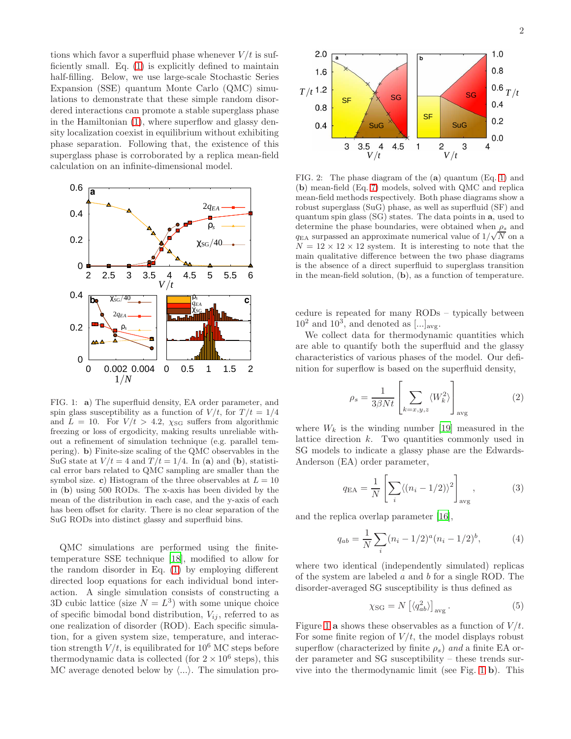tions which favor a superfluid phase whenever  $V/t$  is sufficiently small. Eq. [\(1\)](#page-1-0) is explicitly defined to maintain half-filling. Below, we use large-scale Stochastic Series Expansion (SSE) quantum Monte Carlo (QMC) simulations to demonstrate that these simple random disordered interactions can promote a stable superglass phase in the Hamiltonian [\(1\)](#page-1-0), where superflow and glassy density localization coexist in equilibrium without exhibiting phase separation. Following that, the existence of this superglass phase is corroborated by a replica mean-field calculation on an infinite-dimensional model.



<span id="page-2-0"></span>FIG. 1: a) The superfluid density, EA order parameter, and spin glass susceptibility as a function of  $V/t$ , for  $T/t = 1/4$ and  $L = 10$ . For  $V/t > 4.2$ ,  $\chi_{SG}$  suffers from algorithmic freezing or loss of ergodicity, making results unreliable without a refinement of simulation technique (e.g. parallel tempering). b) Finite-size scaling of the QMC observables in the SuG state at  $V/t = 4$  and  $T/t = 1/4$ . In (a) and (b), statistical error bars related to QMC sampling are smaller than the symbol size. c) Histogram of the three observables at  $L = 10$ in (b) using 500 RODs. The x-axis has been divided by the mean of the distribution in each case, and the y-axis of each has been offset for clarity. There is no clear separation of the SuG RODs into distinct glassy and superfluid bins.

QMC simulations are performed using the finitetemperature SSE technique [\[18\]](#page-4-18), modified to allow for the random disorder in Eq. [\(1\)](#page-1-0) by employing different directed loop equations for each individual bond interaction. A single simulation consists of constructing a 3D cubic lattice (size  $N = L<sup>3</sup>$ ) with some unique choice of specific bimodal bond distribution,  $V_{ij}$ , referred to as one realization of disorder (ROD). Each specific simulation, for a given system size, temperature, and interaction strength  $V/t$ , is equilibrated for 10<sup>6</sup> MC steps before thermodynamic data is collected (for  $2 \times 10^6$  steps), this MC average denoted below by  $\langle ... \rangle$ . The simulation pro-



<span id="page-2-1"></span>FIG. 2: The phase diagram of the (a) quantum (Eq. [1\)](#page-1-0) and (b) mean-field (Eq. [7\)](#page-3-0) models, solved with QMC and replica mean-field methods respectively. Both phase diagrams show a robust superglass (SuG) phase, as well as superfluid (SF) and quantum spin glass (SG) states. The data points in a, used to determine the phase boundaries, were obtained when  $\rho_s$  and  $q_{\text{EA}}$  surpassed an approximate numerical value of  $1/\sqrt{N}$  on a  $N = 12 \times 12 \times 12$  system. It is interesting to note that the main qualitative difference between the two phase diagrams is the absence of a direct superfluid to superglass transition in the mean-field solution, (b), as a function of temperature.

cedure is repeated for many RODs – typically between  $10^2$  and  $10^3$ , and denoted as  $\ldots]_{\text{avg}}$ .

We collect data for thermodynamic quantities which are able to quantify both the superfluid and the glassy characteristics of various phases of the model. Our definition for superflow is based on the superfluid density,

$$
\rho_s = \frac{1}{3\beta Nt} \left[ \sum_{k=x,y,z} \langle W_k^2 \rangle \right]_{\text{avg}} \tag{2}
$$

where  $W_k$  is the winding number [\[19](#page-4-19)] measured in the lattice direction k. Two quantities commonly used in SG models to indicate a glassy phase are the Edwards-Anderson (EA) order parameter,

$$
q_{\text{EA}} = \frac{1}{N} \left[ \sum_{i} \langle (n_i - 1/2) \rangle^2 \right]_{\text{avg}}, \tag{3}
$$

and the replica overlap parameter [\[16\]](#page-4-16),

$$
q_{ab} = \frac{1}{N} \sum_{i} (n_i - 1/2)^a (n_i - 1/2)^b,
$$
 (4)

where two identical (independently simulated) replicas of the system are labeled  $a$  and  $b$  for a single ROD. The disorder-averaged SG susceptibility is thus defined as

$$
\chi_{\rm SG} = N \left[ \langle q_{ab}^2 \rangle \right]_{\rm avg} . \tag{5}
$$

Figure [1](#page-2-0) a shows these observables as a function of  $V/t$ . For some finite region of  $V/t$ , the model displays robust superflow (characterized by finite  $\rho_s$ ) and a finite EA order parameter and SG susceptibility – these trends survive into the thermodynamic limit (see Fig. [1](#page-2-0) b). This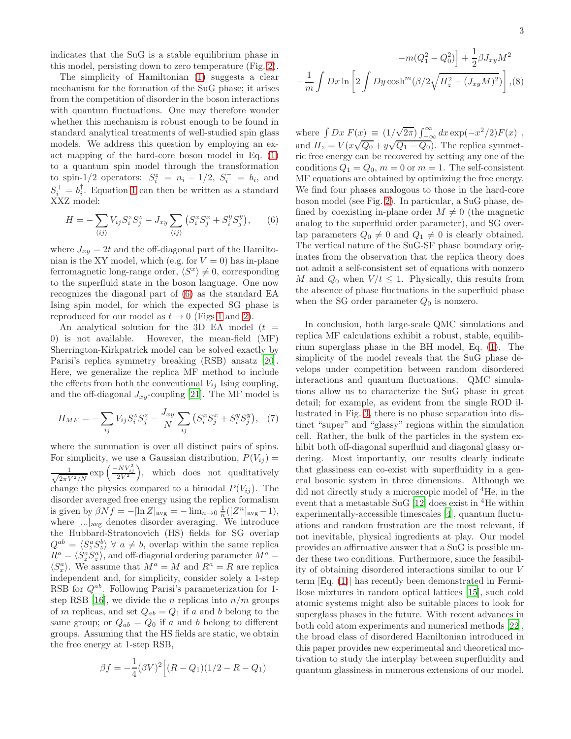indicates that the SuG is a stable equilibrium phase in this model, persisting down to zero temperature (Fig. [2\)](#page-2-1).

The simplicity of Hamiltonian [\(1\)](#page-1-0) suggests a clear mechanism for the formation of the SuG phase; it arises from the competition of disorder in the boson interactions with quantum fluctuations. One may therefore wonder whether this mechanism is robust enough to be found in standard analytical treatments of well-studied spin glass models. We address this question by employing an exact mapping of the hard-core boson model in Eq. [\(1\)](#page-1-0) to a quantum spin model through the transformation to spin-1/2 operators:  $S_i^z = n_i - 1/2$ ,  $S_i^- = b_i$ , and  $S_i^+ = b_i^{\dagger}$ . Equation [1](#page-1-0) can then be written as a standard XXZ model:

<span id="page-3-1"></span>
$$
H = -\sum_{\langle ij \rangle} V_{ij} S_i^z S_j^z - J_{xy} \sum_{\langle ij \rangle} \left( S_i^x S_j^x + S_i^y S_j^y \right), \qquad (6)
$$

where  $J_{xy} = 2t$  and the off-diagonal part of the Hamiltonian is the XY model, which (e.g. for  $V = 0$ ) has in-plane ferromagnetic long-range order,  $\langle S^x \rangle \neq 0$ , corresponding to the superfluid state in the boson language. One now recognizes the diagonal part of [\(6\)](#page-3-1) as the standard EA Ising spin model, for which the expected SG phase is reproduced for our model as  $t \to 0$  (Figs [1](#page-2-0) and [2\)](#page-2-1).

An analytical solution for the 3D EA model  $(t =$ 0) is not available. However, the mean-field (MF) Sherrington-Kirkpatrick model can be solved exactly by Parisi's replica symmetry breaking (RSB) ansatz [\[20\]](#page-4-20). Here, we generalize the replica MF method to include the effects from both the conventional  $V_{ij}$  Ising coupling, and the off-diagonal  $J_{xy}$ -coupling [\[21](#page-4-21)]. The MF model is

<span id="page-3-0"></span>
$$
H_{MF} = -\sum_{ij} V_{ij} S_i^z S_j^z - \frac{J_{xy}}{N} \sum_{ij} \left( S_i^x S_j^x + S_i^y S_j^y \right), \tag{7}
$$

where the summation is over all distinct pairs of spins. For simplicity, we use a Gaussian distribution,  $P(V_{ij}) =$  $\frac{1}{\sqrt{2\pi\lambda}}$  $\frac{1}{2\pi V^2/N} \exp\left(\frac{-NV_{ij}^2}{2V^2}\right)$ , which does not qualitatively change the physics compared to a bimodal  $P(V_{ij})$ . The disorder averaged free energy using the replica formalism is given by  $\beta N f = -[\ln Z]_{\text{avg}} = -\lim_{n\to 0} \frac{1}{n} ([Z^n]_{\text{avg}} - 1),$ where [...]<sub>avg</sub> denotes disorder averaging. We introduce the Hubbard-Stratonovich (HS) fields for SG overlap  $Q^{ab} = \langle S_z^a S_z^b \rangle \ \forall \ a \neq b$ , overlap within the same replica  $R^a = \langle S_z^a S_z^a \rangle$ , and off-diagonal ordering parameter  $M^a =$  $\langle S_x^a \rangle$ . We assume that  $M^a = M$  and  $R^a = R$  are replica independent and, for simplicity, consider solely a 1-step RSB for  $Q^{ab}$ . Following Parisi's parameterization for 1-step RSB [\[16](#page-4-16)], we divide the *n* replicas into  $n/m$  groups of m replicas, and set  $Q_{ab} = Q_1$  if a and b belong to the same group; or  $Q_{ab} = Q_0$  if a and b belong to different groups. Assuming that the HS fields are static, we obtain the free energy at 1-step RSB,

$$
\beta f = -\frac{1}{4} (\beta V)^2 \Big[ (R - Q_1)(1/2 - R - Q_1)
$$

$$
-m(Q_1^2 - Q_0^2)\Big] + \frac{1}{2}\beta J_{xy}M^2
$$

$$
-\frac{1}{m}\int Dx \ln\left[2\int Dy \cosh^m(\beta/2\sqrt{H_z^2 + (J_{xy}M)^2})\right], (8)
$$

where  $\int Dx F(x) \equiv (1/\sqrt{2\pi}) \int_{-\infty}^{\infty} dx \exp(-x^2/2)F(x)$ , and  $H_z = V(x\sqrt{Q_0} + y\sqrt{Q_1 - Q_0})$ . The replica symmetric free energy can be recovered by setting any one of the conditions  $Q_1 = Q_0$ ,  $m = 0$  or  $m = 1$ . The self-consistent MF equations are obtained by optimizing the free energy. We find four phases analogous to those in the hard-core boson model (see Fig. [2\)](#page-2-1). In particular, a SuG phase, defined by coexisting in-plane order  $M \neq 0$  (the magnetic analog to the superfluid order parameter), and SG overlap parameters  $Q_0 \neq 0$  and  $Q_1 \neq 0$  is clearly obtained. The vertical nature of the SuG-SF phase boundary originates from the observation that the replica theory does not admit a self-consistent set of equations with nonzero M and  $Q_0$  when  $V/t \leq 1$ . Physically, this results from the absence of phase fluctuations in the superfluid phase when the SG order parameter  $Q_0$  is nonzero.

In conclusion, both large-scale QMC simulations and replica MF calculations exhibit a robust, stable, equilibrium superglass phase in the BH model, Eq. [\(1\)](#page-1-0). The simplicity of the model reveals that the SuG phase develops under competition between random disordered interactions and quantum fluctuations. QMC simulations allow us to characterize the SuG phase in great detail; for example, as evident from the single ROD illustrated in Fig. [3,](#page-4-22) there is no phase separation into distinct "super" and "glassy" regions within the simulation cell. Rather, the bulk of the particles in the system exhibit both off-diagonal superfluid and diagonal glassy ordering. Most importantly, our results clearly indicate that glassiness can co-exist with superfluidity in a general bosonic system in three dimensions. Although we did not directly study a microscopic model of <sup>4</sup>He, in the event that a metastable SuG  $[12]$  does exist in <sup>4</sup>He within experimentally-accessible timescales [\[4\]](#page-4-4), quantum fluctuations and random frustration are the most relevant, if not inevitable, physical ingredients at play. Our model provides an affirmative answer that a SuG is possible under these two conditions. Furthermore, since the feasibility of obtaining disordered interactions similar to our V term [Eq. [\(1\)](#page-1-0)] has recently been demonstrated in Fermi-Bose mixtures in random optical lattices [\[15](#page-4-15)], such cold atomic systems might also be suitable places to look for superglass phases in the future. With recent advances in both cold atom experiments and numerical methods [\[22\]](#page-4-23), the broad class of disordered Hamiltonian introduced in this paper provides new experimental and theoretical motivation to study the interplay between superfluidity and quantum glassiness in numerous extensions of our model.